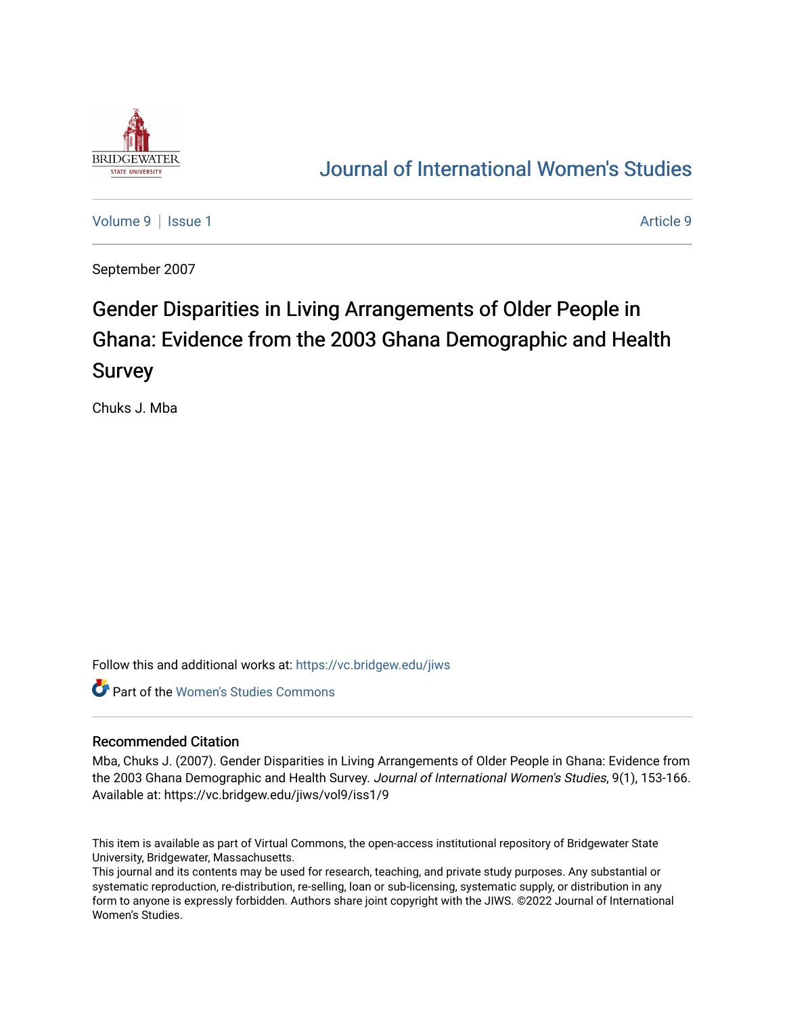

# [Journal of International Women's Studies](https://vc.bridgew.edu/jiws)

[Volume 9](https://vc.bridgew.edu/jiws/vol9) | [Issue 1](https://vc.bridgew.edu/jiws/vol9/iss1) [Article 9](https://vc.bridgew.edu/jiws/vol9/iss1/9) | Article 9 | Article 9 | Article 9 | Article 9 | Article 9 | Article 9 | Article 9

September 2007

# Gender Disparities in Living Arrangements of Older People in Ghana: Evidence from the 2003 Ghana Demographic and Health Survey

Chuks J. Mba

Follow this and additional works at: [https://vc.bridgew.edu/jiws](https://vc.bridgew.edu/jiws?utm_source=vc.bridgew.edu%2Fjiws%2Fvol9%2Fiss1%2F9&utm_medium=PDF&utm_campaign=PDFCoverPages)

**C** Part of the Women's Studies Commons

# Recommended Citation

Mba, Chuks J. (2007). Gender Disparities in Living Arrangements of Older People in Ghana: Evidence from the 2003 Ghana Demographic and Health Survey. Journal of International Women's Studies, 9(1), 153-166. Available at: https://vc.bridgew.edu/jiws/vol9/iss1/9

This item is available as part of Virtual Commons, the open-access institutional repository of Bridgewater State University, Bridgewater, Massachusetts.

This journal and its contents may be used for research, teaching, and private study purposes. Any substantial or systematic reproduction, re-distribution, re-selling, loan or sub-licensing, systematic supply, or distribution in any form to anyone is expressly forbidden. Authors share joint copyright with the JIWS. ©2022 Journal of International Women's Studies.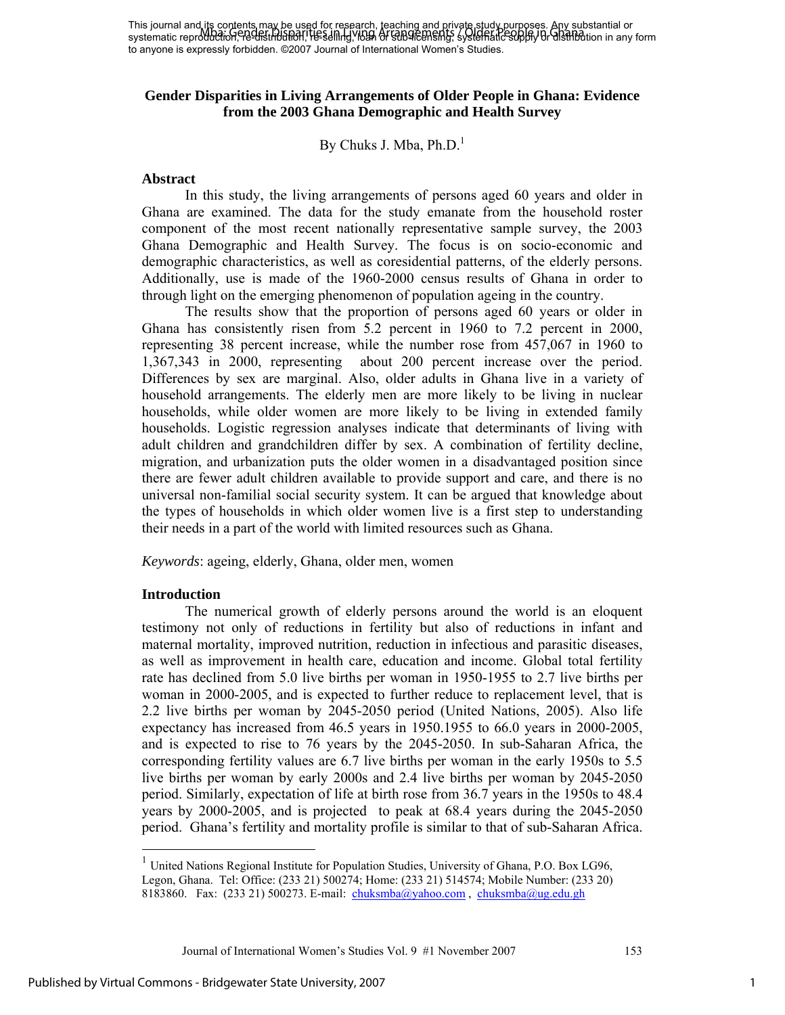# **Gender Disparities in Living Arrangements of Older People in Ghana: Evidence from the 2003 Ghana Demographic and Health Survey**

By Chuks J. Mba,  $Ph.D.<sup>1</sup>$ 

# **Abstract**

In this study, the living arrangements of persons aged 60 years and older in Ghana are examined. The data for the study emanate from the household roster component of the most recent nationally representative sample survey, the 2003 Ghana Demographic and Health Survey. The focus is on socio-economic and demographic characteristics, as well as coresidential patterns, of the elderly persons. Additionally, use is made of the 1960-2000 census results of Ghana in order to through light on the emerging phenomenon of population ageing in the country.

The results show that the proportion of persons aged 60 years or older in Ghana has consistently risen from 5.2 percent in 1960 to 7.2 percent in 2000, representing 38 percent increase, while the number rose from 457,067 in 1960 to 1,367,343 in 2000, representing about 200 percent increase over the period. Differences by sex are marginal. Also, older adults in Ghana live in a variety of household arrangements. The elderly men are more likely to be living in nuclear households, while older women are more likely to be living in extended family households. Logistic regression analyses indicate that determinants of living with adult children and grandchildren differ by sex. A combination of fertility decline, migration, and urbanization puts the older women in a disadvantaged position since there are fewer adult children available to provide support and care, and there is no universal non-familial social security system. It can be argued that knowledge about the types of households in which older women live is a first step to understanding their needs in a part of the world with limited resources such as Ghana.

*Keywords*: ageing, elderly, Ghana, older men, women

# **Introduction**

 $\overline{\phantom{a}}$ 

The numerical growth of elderly persons around the world is an eloquent testimony not only of reductions in fertility but also of reductions in infant and maternal mortality, improved nutrition, reduction in infectious and parasitic diseases, as well as improvement in health care, education and income. Global total fertility rate has declined from 5.0 live births per woman in 1950-1955 to 2.7 live births per woman in 2000-2005, and is expected to further reduce to replacement level, that is 2.2 live births per woman by 2045-2050 period (United Nations, 2005). Also life expectancy has increased from 46.5 years in 1950.1955 to 66.0 years in 2000-2005, and is expected to rise to 76 years by the 2045-2050. In sub-Saharan Africa, the corresponding fertility values are 6.7 live births per woman in the early 1950s to 5.5 live births per woman by early 2000s and 2.4 live births per woman by 2045-2050 period. Similarly, expectation of life at birth rose from 36.7 years in the 1950s to 48.4 years by 2000-2005, and is projected to peak at 68.4 years during the 2045-2050 period. Ghana's fertility and mortality profile is similar to that of sub-Saharan Africa.

Journal of International Women's Studies Vol. 9 #1 November 2007 153

<sup>1</sup> United Nations Regional Institute for Population Studies, University of Ghana, P.O. Box LG96, Legon, Ghana. Tel: Office: (233 21) 500274; Home: (233 21) 514574; Mobile Number: (233 20) 8183860. Fax: (233 21) 500273. E-mail: chuksmba@yahoo.com, chuksmba@ug.edu.gh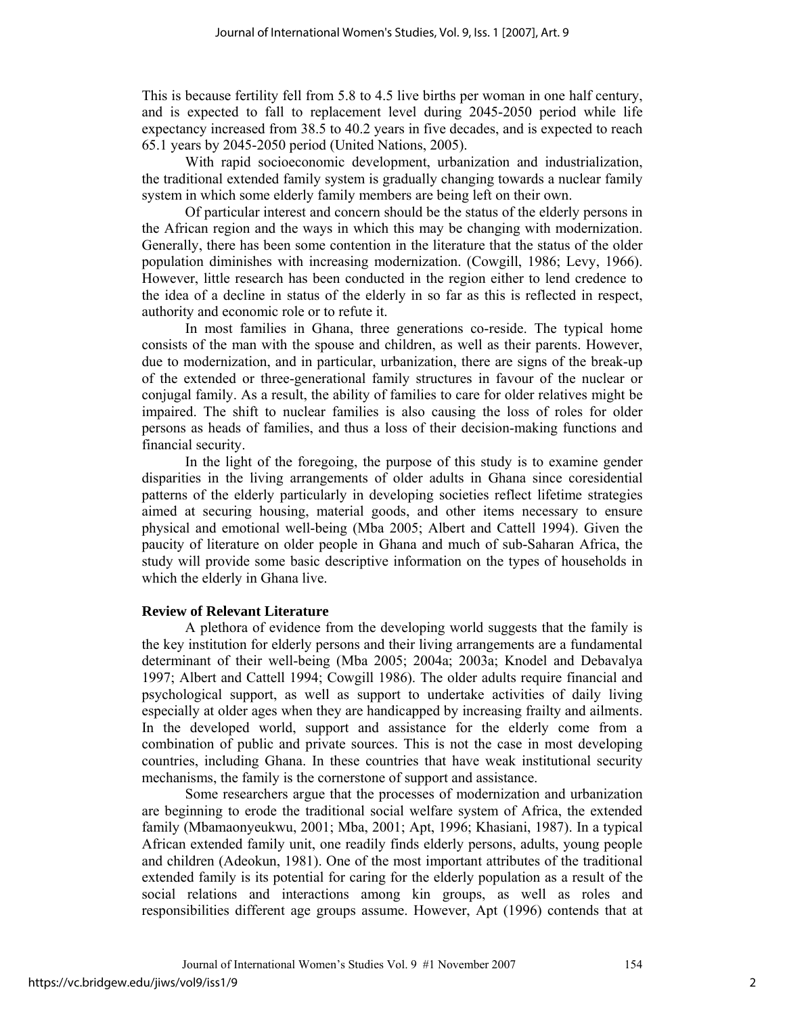This is because fertility fell from 5.8 to 4.5 live births per woman in one half century, and is expected to fall to replacement level during 2045-2050 period while life expectancy increased from 38.5 to 40.2 years in five decades, and is expected to reach 65.1 years by 2045-2050 period (United Nations, 2005).

With rapid socioeconomic development, urbanization and industrialization, the traditional extended family system is gradually changing towards a nuclear family system in which some elderly family members are being left on their own.

Of particular interest and concern should be the status of the elderly persons in the African region and the ways in which this may be changing with modernization. Generally, there has been some contention in the literature that the status of the older population diminishes with increasing modernization. (Cowgill, 1986; Levy, 1966). However, little research has been conducted in the region either to lend credence to the idea of a decline in status of the elderly in so far as this is reflected in respect, authority and economic role or to refute it.

In most families in Ghana, three generations co-reside. The typical home consists of the man with the spouse and children, as well as their parents. However, due to modernization, and in particular, urbanization, there are signs of the break-up of the extended or three-generational family structures in favour of the nuclear or conjugal family. As a result, the ability of families to care for older relatives might be impaired. The shift to nuclear families is also causing the loss of roles for older persons as heads of families, and thus a loss of their decision-making functions and financial security.

In the light of the foregoing, the purpose of this study is to examine gender disparities in the living arrangements of older adults in Ghana since coresidential patterns of the elderly particularly in developing societies reflect lifetime strategies aimed at securing housing, material goods, and other items necessary to ensure physical and emotional well-being (Mba 2005; Albert and Cattell 1994). Given the paucity of literature on older people in Ghana and much of sub-Saharan Africa, the study will provide some basic descriptive information on the types of households in which the elderly in Ghana live.

#### **Review of Relevant Literature**

A plethora of evidence from the developing world suggests that the family is the key institution for elderly persons and their living arrangements are a fundamental determinant of their well-being (Mba 2005; 2004a; 2003a; Knodel and Debavalya 1997; Albert and Cattell 1994; Cowgill 1986). The older adults require financial and psychological support, as well as support to undertake activities of daily living especially at older ages when they are handicapped by increasing frailty and ailments. In the developed world, support and assistance for the elderly come from a combination of public and private sources. This is not the case in most developing countries, including Ghana. In these countries that have weak institutional security mechanisms, the family is the cornerstone of support and assistance.

Some researchers argue that the processes of modernization and urbanization are beginning to erode the traditional social welfare system of Africa, the extended family (Mbamaonyeukwu, 2001; Mba, 2001; Apt, 1996; Khasiani, 1987). In a typical African extended family unit, one readily finds elderly persons, adults, young people and children (Adeokun, 1981). One of the most important attributes of the traditional extended family is its potential for caring for the elderly population as a result of the social relations and interactions among kin groups, as well as roles and responsibilities different age groups assume. However, Apt (1996) contends that at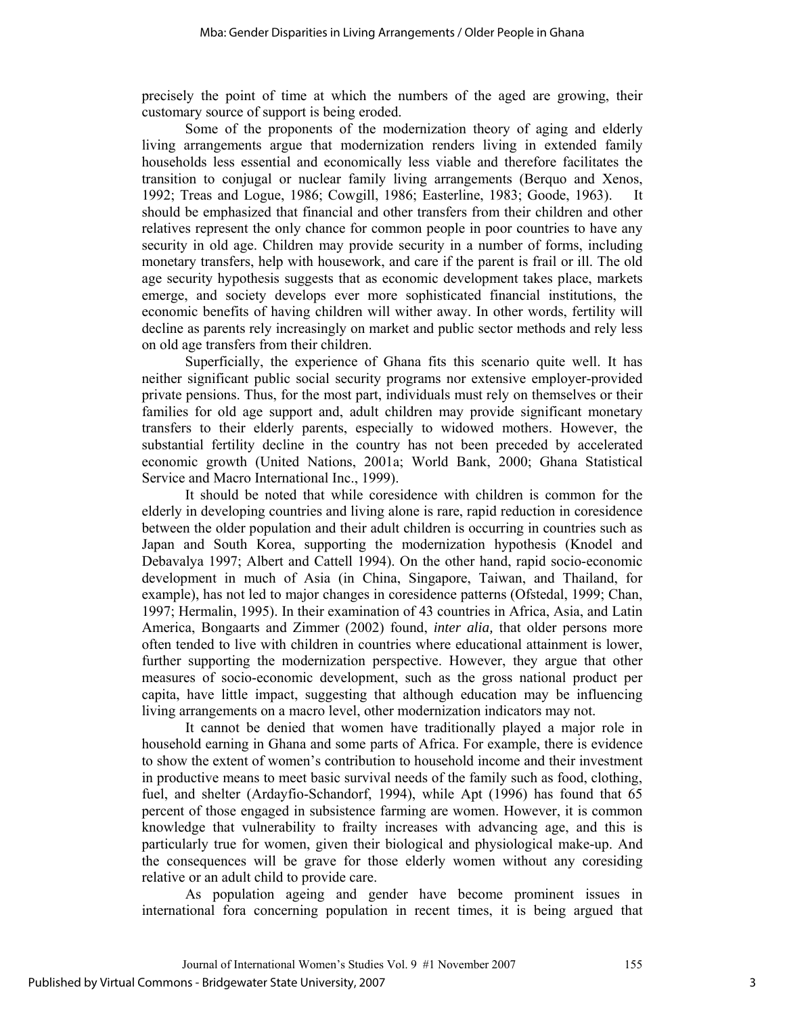precisely the point of time at which the numbers of the aged are growing, their customary source of support is being eroded.

Some of the proponents of the modernization theory of aging and elderly living arrangements argue that modernization renders living in extended family households less essential and economically less viable and therefore facilitates the transition to conjugal or nuclear family living arrangements (Berquo and Xenos, 1992; Treas and Logue, 1986; Cowgill, 1986; Easterline, 1983; Goode, 1963). It should be emphasized that financial and other transfers from their children and other relatives represent the only chance for common people in poor countries to have any security in old age. Children may provide security in a number of forms, including monetary transfers, help with housework, and care if the parent is frail or ill. The old age security hypothesis suggests that as economic development takes place, markets emerge, and society develops ever more sophisticated financial institutions, the economic benefits of having children will wither away. In other words, fertility will decline as parents rely increasingly on market and public sector methods and rely less on old age transfers from their children.

Superficially, the experience of Ghana fits this scenario quite well. It has neither significant public social security programs nor extensive employer-provided private pensions. Thus, for the most part, individuals must rely on themselves or their families for old age support and, adult children may provide significant monetary transfers to their elderly parents, especially to widowed mothers. However, the substantial fertility decline in the country has not been preceded by accelerated economic growth (United Nations, 2001a; World Bank, 2000; Ghana Statistical Service and Macro International Inc., 1999).

It should be noted that while coresidence with children is common for the elderly in developing countries and living alone is rare, rapid reduction in coresidence between the older population and their adult children is occurring in countries such as Japan and South Korea, supporting the modernization hypothesis (Knodel and Debavalya 1997; Albert and Cattell 1994). On the other hand, rapid socio-economic development in much of Asia (in China, Singapore, Taiwan, and Thailand, for example), has not led to major changes in coresidence patterns (Ofstedal, 1999; Chan, 1997; Hermalin, 1995). In their examination of 43 countries in Africa, Asia, and Latin America, Bongaarts and Zimmer (2002) found, *inter alia,* that older persons more often tended to live with children in countries where educational attainment is lower, further supporting the modernization perspective. However, they argue that other measures of socio-economic development, such as the gross national product per capita, have little impact, suggesting that although education may be influencing living arrangements on a macro level, other modernization indicators may not.

It cannot be denied that women have traditionally played a major role in household earning in Ghana and some parts of Africa. For example, there is evidence to show the extent of women's contribution to household income and their investment in productive means to meet basic survival needs of the family such as food, clothing, fuel, and shelter (Ardayfio-Schandorf, 1994), while Apt (1996) has found that 65 percent of those engaged in subsistence farming are women. However, it is common knowledge that vulnerability to frailty increases with advancing age, and this is particularly true for women, given their biological and physiological make-up. And the consequences will be grave for those elderly women without any coresiding relative or an adult child to provide care.

As population ageing and gender have become prominent issues in international fora concerning population in recent times, it is being argued that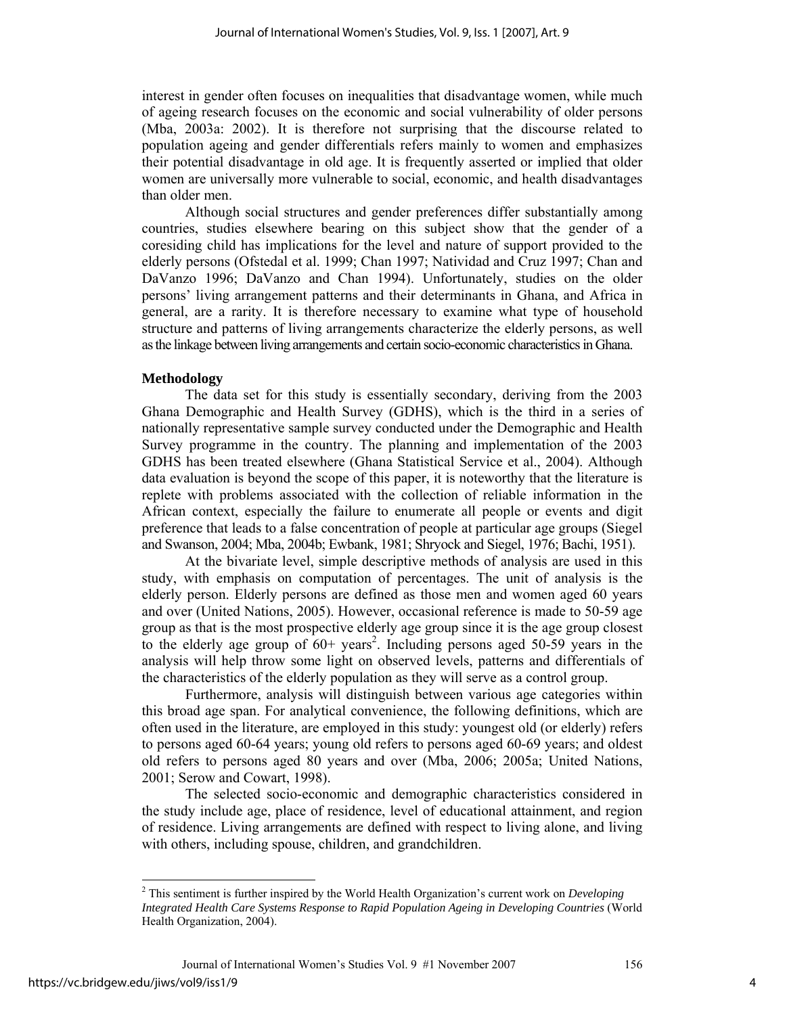interest in gender often focuses on inequalities that disadvantage women, while much of ageing research focuses on the economic and social vulnerability of older persons (Mba, 2003a: 2002). It is therefore not surprising that the discourse related to population ageing and gender differentials refers mainly to women and emphasizes their potential disadvantage in old age. It is frequently asserted or implied that older women are universally more vulnerable to social, economic, and health disadvantages than older men.

Although social structures and gender preferences differ substantially among countries, studies elsewhere bearing on this subject show that the gender of a coresiding child has implications for the level and nature of support provided to the elderly persons (Ofstedal et al. 1999; Chan 1997; Natividad and Cruz 1997; Chan and DaVanzo 1996; DaVanzo and Chan 1994). Unfortunately, studies on the older persons' living arrangement patterns and their determinants in Ghana, and Africa in general, are a rarity. It is therefore necessary to examine what type of household structure and patterns of living arrangements characterize the elderly persons, as well as the linkage between living arrangements and certain socio-economic characteristics in Ghana.

#### **Methodology**

The data set for this study is essentially secondary, deriving from the 2003 Ghana Demographic and Health Survey (GDHS), which is the third in a series of nationally representative sample survey conducted under the Demographic and Health Survey programme in the country. The planning and implementation of the 2003 GDHS has been treated elsewhere (Ghana Statistical Service et al., 2004). Although data evaluation is beyond the scope of this paper, it is noteworthy that the literature is replete with problems associated with the collection of reliable information in the African context, especially the failure to enumerate all people or events and digit preference that leads to a false concentration of people at particular age groups (Siegel and Swanson, 2004; Mba, 2004b; Ewbank, 1981; Shryock and Siegel, 1976; Bachi, 1951).

At the bivariate level, simple descriptive methods of analysis are used in this study, with emphasis on computation of percentages. The unit of analysis is the elderly person. Elderly persons are defined as those men and women aged 60 years and over (United Nations, 2005). However, occasional reference is made to 50-59 age group as that is the most prospective elderly age group since it is the age group closest to the elderly age group of  $60+$  years<sup>2</sup>. Including persons aged 50-59 years in the analysis will help throw some light on observed levels, patterns and differentials of the characteristics of the elderly population as they will serve as a control group.

Furthermore, analysis will distinguish between various age categories within this broad age span. For analytical convenience, the following definitions, which are often used in the literature, are employed in this study: youngest old (or elderly) refers to persons aged 60-64 years; young old refers to persons aged 60-69 years; and oldest old refers to persons aged 80 years and over (Mba, 2006; 2005a; United Nations, 2001; Serow and Cowart, 1998).

The selected socio-economic and demographic characteristics considered in the study include age, place of residence, level of educational attainment, and region of residence. Living arrangements are defined with respect to living alone, and living with others, including spouse, children, and grandchildren.

Journal of International Women's Studies Vol. 9 #1 November 2007 156 https://vc.bridgew.edu/jiws/vol9/iss1/9

<sup>2</sup> This sentiment is further inspired by the World Health Organization's current work on *Developing Integrated Health Care Systems Response to Rapid Population Ageing in Developing Countries* (World Health Organization, 2004).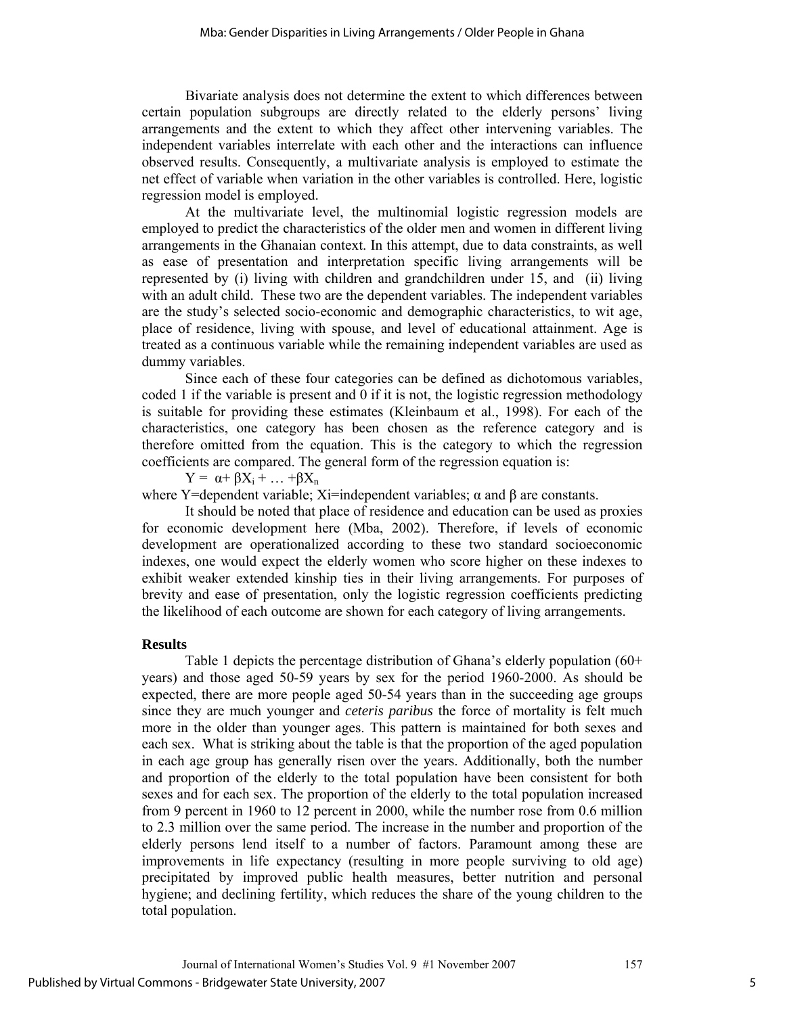Bivariate analysis does not determine the extent to which differences between certain population subgroups are directly related to the elderly persons' living arrangements and the extent to which they affect other intervening variables. The independent variables interrelate with each other and the interactions can influence observed results. Consequently, a multivariate analysis is employed to estimate the net effect of variable when variation in the other variables is controlled. Here, logistic regression model is employed.

At the multivariate level, the multinomial logistic regression models are employed to predict the characteristics of the older men and women in different living arrangements in the Ghanaian context. In this attempt, due to data constraints, as well as ease of presentation and interpretation specific living arrangements will be represented by (i) living with children and grandchildren under 15, and (ii) living with an adult child. These two are the dependent variables. The independent variables are the study's selected socio-economic and demographic characteristics, to wit age, place of residence, living with spouse, and level of educational attainment. Age is treated as a continuous variable while the remaining independent variables are used as dummy variables.

Since each of these four categories can be defined as dichotomous variables, coded 1 if the variable is present and 0 if it is not, the logistic regression methodology is suitable for providing these estimates (Kleinbaum et al., 1998). For each of the characteristics, one category has been chosen as the reference category and is therefore omitted from the equation. This is the category to which the regression coefficients are compared. The general form of the regression equation is:

 $Y = \alpha + \beta X_i + \ldots + \beta X_n$ 

where Y=dependent variable; Xi=independent variables;  $\alpha$  and  $\beta$  are constants.

It should be noted that place of residence and education can be used as proxies for economic development here (Mba, 2002). Therefore, if levels of economic development are operationalized according to these two standard socioeconomic indexes, one would expect the elderly women who score higher on these indexes to exhibit weaker extended kinship ties in their living arrangements. For purposes of brevity and ease of presentation, only the logistic regression coefficients predicting the likelihood of each outcome are shown for each category of living arrangements.

# **Results**

Table 1 depicts the percentage distribution of Ghana's elderly population (60+ years) and those aged 50-59 years by sex for the period 1960-2000. As should be expected, there are more people aged 50-54 years than in the succeeding age groups since they are much younger and *ceteris paribus* the force of mortality is felt much more in the older than younger ages. This pattern is maintained for both sexes and each sex. What is striking about the table is that the proportion of the aged population in each age group has generally risen over the years. Additionally, both the number and proportion of the elderly to the total population have been consistent for both sexes and for each sex. The proportion of the elderly to the total population increased from 9 percent in 1960 to 12 percent in 2000, while the number rose from 0.6 million to 2.3 million over the same period. The increase in the number and proportion of the elderly persons lend itself to a number of factors. Paramount among these are improvements in life expectancy (resulting in more people surviving to old age) precipitated by improved public health measures, better nutrition and personal hygiene; and declining fertility, which reduces the share of the young children to the total population.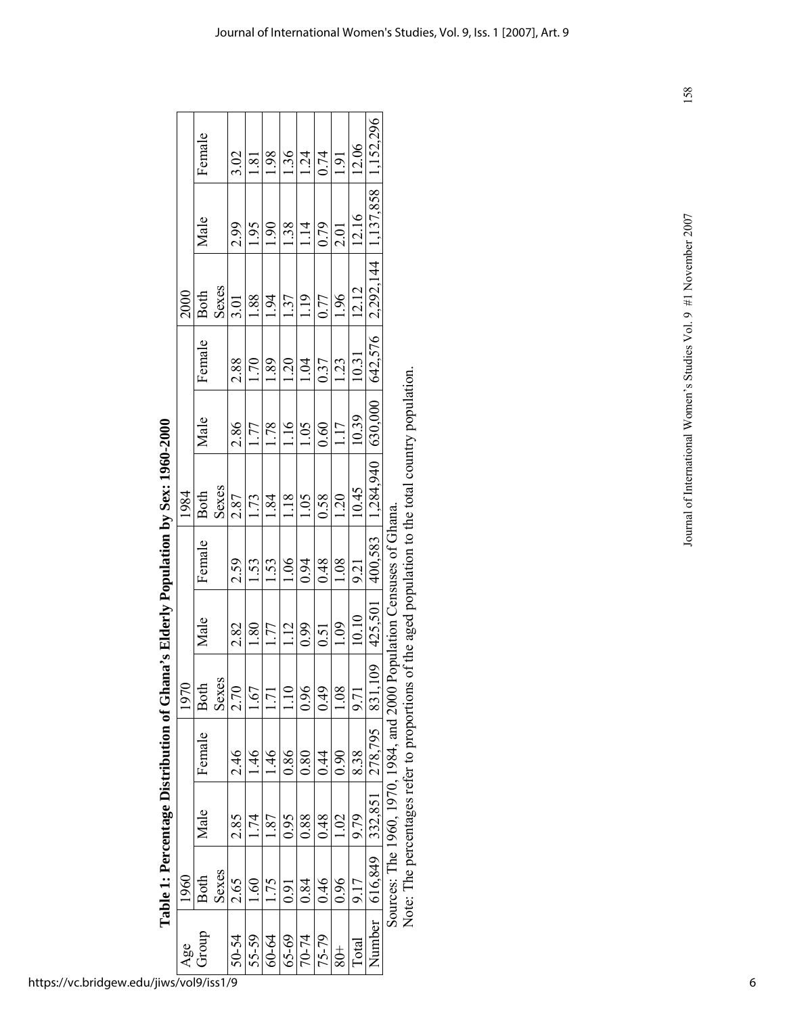|      | Female      |       | 3.02  | 1.81           | 1.98            | 1.36          | 1.24      | 0.74  | 1.91                 | 12.06 | 1,152,296   |                                                             |
|------|-------------|-------|-------|----------------|-----------------|---------------|-----------|-------|----------------------|-------|-------------|-------------------------------------------------------------|
|      | Male        |       | 2.99  | 1.95           | 1.90            | 1.38          | 1.14      | 0.79  | 2.01                 | 12.16 | 1,137,858   |                                                             |
| 2000 | <b>Both</b> | Sexes | 3.01  | 1.88           | 1.94            | 1.37          | 1.19      | 0.77  | 1.96                 | 12.12 | 2,292,144   |                                                             |
|      | Female      |       | 2.88  | 1.70           | 1.89            | 1.20          | 1.04      | 0.37  | 1.23                 | 10.31 | 642,576     |                                                             |
|      | Male        |       | 2.86  | 1.77           | 1.78            | 1.16          | 1.05      | 0.60  | 1.17                 | 10.39 | 630,000     |                                                             |
| 1984 | <b>Both</b> | Sexes | 2.87  | 1.73           | 1.84            | 1.18          | 1.05      | 0.58  | 1.20                 | 10.45 | 1,284,940   |                                                             |
|      | Female      |       | 2.59  | 1.53           | 1.53            | 1.06          | 0.94      | 0.48  | 1.08                 | 9.21  | 400,583     |                                                             |
|      | Male        |       | 2.82  | 1.80           | 1.77            | 1.12          | 0.99      | 0.51  | $\frac{1.09}{\cdot}$ | 10.10 | 425,501     |                                                             |
| 1970 | <b>Both</b> | Sexes | 2.70  | $-1.67$        | $\overline{71}$ | $\frac{1}{2}$ | 0.96      | 0.49  | 0.08                 | 9.71  | 109<br>831. |                                                             |
|      | Female      |       | 2.46  | $\frac{46}{1}$ | $\frac{46}{1}$  | 0.86          | 0.80      | 0.44  | 0.90                 | 8.38  | 278,795     |                                                             |
|      | Male        |       | 2.85  |                | .87             | 0.95          | 0.88      | 0.48  | 1.02                 | 9.79  | 332,851     |                                                             |
| 1960 | <b>Both</b> | Sexes | 2.65  | 60             | .75             | 0.91          | 0.84      | 0.46  | 0.96                 | 9.17  | 616,849     | Source: The 1960-1984 and 2000 Bomilation Censuses of Ghana |
| Age  | Group       |       | 50-54 | 55-59          | 60-64           | $65 - 69$     | $70 - 74$ | 75-79 | $rac{+}{80}$         | Total | Number      |                                                             |

| CO ANA<br>$\frac{1}{2}$              |
|--------------------------------------|
| )<br>)<br>)<br>)                     |
| -<br>-<br>-<br>i<br>d<br>'<br>ו<br>I |
| $\frac{1}{2}$                        |
| ו<br>ו<br>$\frac{1}{2}$              |
| )<br>;<br>;<br>I                     |
| -<br>F<br>i                          |

Sources: The 1960, 1970, 1984, and 2000 Population Censuses of Ghana.

Note: The percentages refer to proportions of the aged population to the total country population. Sources: The 1960, 1970, 1984, and 2000 Population Censuses of Ghana.<br>Note: The percentages refer to proportions of the aged population to the total country population. 158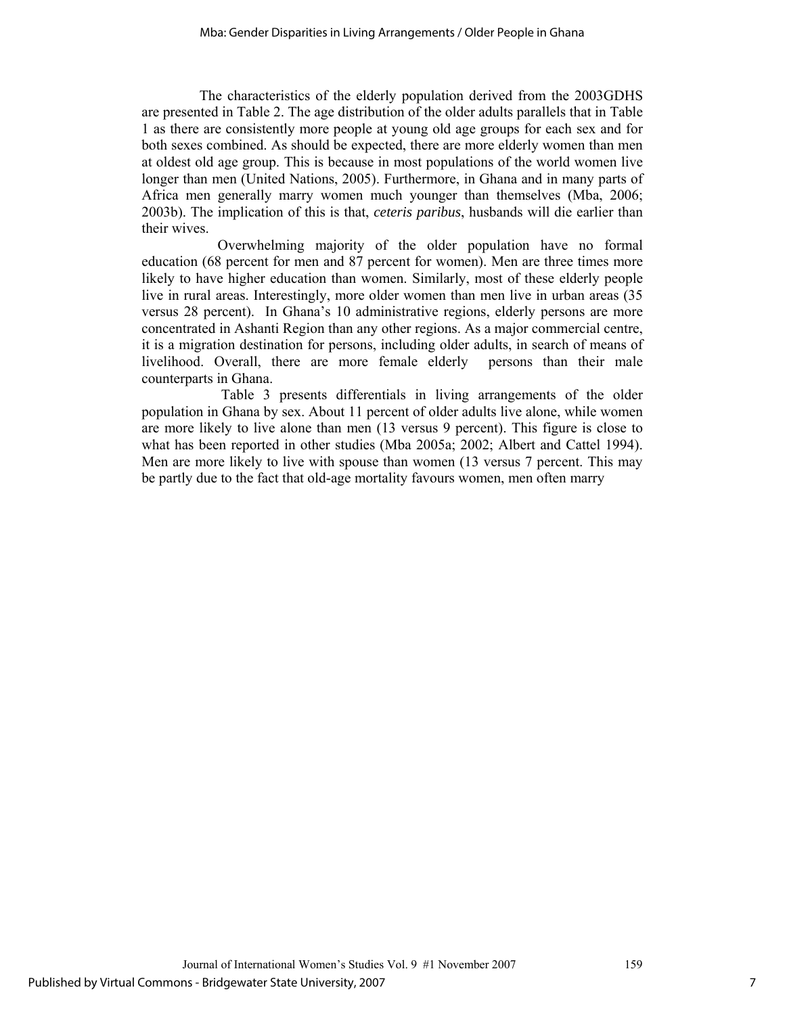The characteristics of the elderly population derived from the 2003GDHS are presented in Table 2. The age distribution of the older adults parallels that in Table 1 as there are consistently more people at young old age groups for each sex and for both sexes combined. As should be expected, there are more elderly women than men at oldest old age group. This is because in most populations of the world women live longer than men (United Nations, 2005). Furthermore, in Ghana and in many parts of Africa men generally marry women much younger than themselves (Mba, 2006; 2003b). The implication of this is that, *ceteris paribus*, husbands will die earlier than their wives.

 Overwhelming majority of the older population have no formal education (68 percent for men and 87 percent for women). Men are three times more likely to have higher education than women. Similarly, most of these elderly people live in rural areas. Interestingly, more older women than men live in urban areas (35 versus 28 percent). In Ghana's 10 administrative regions, elderly persons are more concentrated in Ashanti Region than any other regions. As a major commercial centre, it is a migration destination for persons, including older adults, in search of means of livelihood. Overall, there are more female elderly persons than their male counterparts in Ghana.

 Table 3 presents differentials in living arrangements of the older population in Ghana by sex. About 11 percent of older adults live alone, while women are more likely to live alone than men (13 versus 9 percent). This figure is close to what has been reported in other studies (Mba 2005a; 2002; Albert and Cattel 1994). Men are more likely to live with spouse than women (13 versus 7 percent. This may be partly due to the fact that old-age mortality favours women, men often marry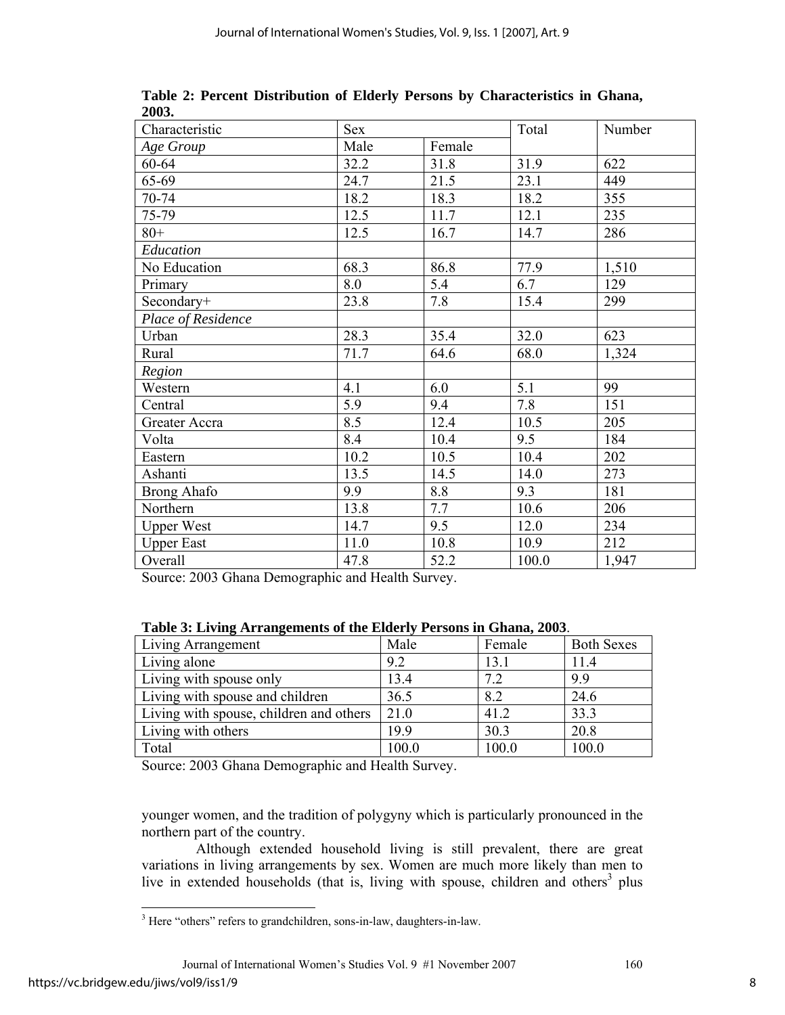| Characteristic     | Sex  |        | Total | Number |
|--------------------|------|--------|-------|--------|
| Age Group          | Male | Female |       |        |
| 60-64              | 32.2 | 31.8   | 31.9  | 622    |
| 65-69              | 24.7 | 21.5   | 23.1  | 449    |
| 70-74              | 18.2 | 18.3   | 18.2  | 355    |
| 75-79              | 12.5 | 11.7   | 12.1  | 235    |
| $80+$              | 12.5 | 16.7   | 14.7  | 286    |
| Education          |      |        |       |        |
| No Education       | 68.3 | 86.8   | 77.9  | 1,510  |
| Primary            | 8.0  | 5.4    | 6.7   | 129    |
| Secondary+         | 23.8 | 7.8    | 15.4  | 299    |
| Place of Residence |      |        |       |        |
| Urban              | 28.3 | 35.4   | 32.0  | 623    |
| Rural              | 71.7 | 64.6   | 68.0  | 1,324  |
| Region             |      |        |       |        |
| Western            | 4.1  | 6.0    | 5.1   | 99     |
| Central            | 5.9  | 9.4    | 7.8   | 151    |
| Greater Accra      | 8.5  | 12.4   | 10.5  | 205    |
| Volta              | 8.4  | 10.4   | 9.5   | 184    |
| Eastern            | 10.2 | 10.5   | 10.4  | 202    |
| Ashanti            | 13.5 | 14.5   | 14.0  | 273    |
| <b>Brong Ahafo</b> | 9.9  | 8.8    | 9.3   | 181    |
| Northern           | 13.8 | 7.7    | 10.6  | 206    |
| <b>Upper West</b>  | 14.7 | 9.5    | 12.0  | 234    |
| <b>Upper East</b>  | 11.0 | 10.8   | 10.9  | 212    |
| Overall            | 47.8 | 52.2   | 100.0 | 1,947  |

**Table 2: Percent Distribution of Elderly Persons by Characteristics in Ghana, 2003.** 

Source: 2003 Ghana Demographic and Health Survey.

| Table 5: Elving Arrangements of the Elucry Tersons in Onana, 2005. |       |        |                   |  |  |  |  |
|--------------------------------------------------------------------|-------|--------|-------------------|--|--|--|--|
| Living Arrangement                                                 | Male  | Female | <b>Both Sexes</b> |  |  |  |  |
| Living alone                                                       | 9.2   | 13.1   | 11.4              |  |  |  |  |
| Living with spouse only                                            | 13.4  | 7.2    | 9.9               |  |  |  |  |
| Living with spouse and children                                    | 36.5  | 8.2    | 24.6              |  |  |  |  |
| Living with spouse, children and others                            | 21.0  | 41.2   | 33.3              |  |  |  |  |
| Living with others                                                 | 19.9  | 30.3   | 20.8              |  |  |  |  |
| Total                                                              | 100.0 | 100.0  | 100.0             |  |  |  |  |

**Table 3: Living Arrangements of the Elderly Persons in Ghana, 2003**.

Source: 2003 Ghana Demographic and Health Survey.

younger women, and the tradition of polygyny which is particularly pronounced in the northern part of the country.

 Although extended household living is still prevalent, there are great variations in living arrangements by sex. Women are much more likely than men to live in extended households (that is, living with spouse, children and others<sup>3</sup> plus

<sup>&</sup>lt;sup>3</sup> Here "others" refers to grandchildren, sons-in-law, daughters-in-law.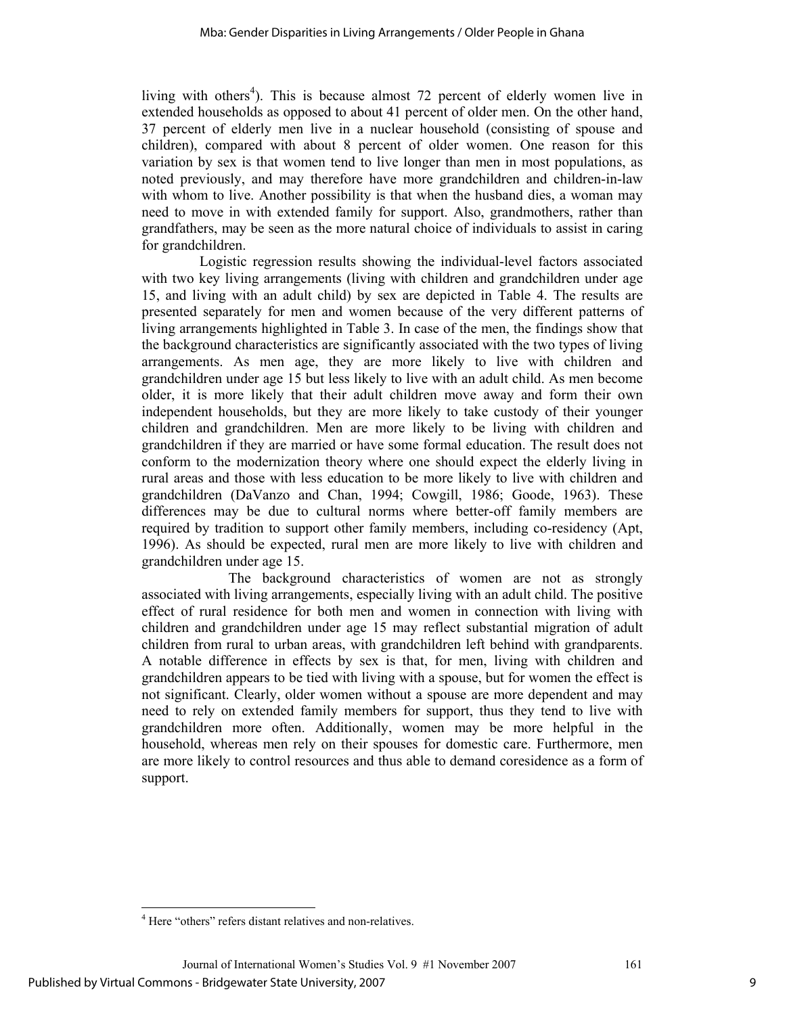living with others<sup>4</sup>). This is because almost 72 percent of elderly women live in extended households as opposed to about 41 percent of older men. On the other hand, 37 percent of elderly men live in a nuclear household (consisting of spouse and children), compared with about 8 percent of older women. One reason for this variation by sex is that women tend to live longer than men in most populations, as noted previously, and may therefore have more grandchildren and children-in-law with whom to live. Another possibility is that when the husband dies, a woman may need to move in with extended family for support. Also, grandmothers, rather than grandfathers, may be seen as the more natural choice of individuals to assist in caring for grandchildren.

 Logistic regression results showing the individual-level factors associated with two key living arrangements (living with children and grandchildren under age 15, and living with an adult child) by sex are depicted in Table 4. The results are presented separately for men and women because of the very different patterns of living arrangements highlighted in Table 3. In case of the men, the findings show that the background characteristics are significantly associated with the two types of living arrangements. As men age, they are more likely to live with children and grandchildren under age 15 but less likely to live with an adult child. As men become older, it is more likely that their adult children move away and form their own independent households, but they are more likely to take custody of their younger children and grandchildren. Men are more likely to be living with children and grandchildren if they are married or have some formal education. The result does not conform to the modernization theory where one should expect the elderly living in rural areas and those with less education to be more likely to live with children and grandchildren (DaVanzo and Chan, 1994; Cowgill, 1986; Goode, 1963). These differences may be due to cultural norms where better-off family members are required by tradition to support other family members, including co-residency (Apt, 1996). As should be expected, rural men are more likely to live with children and grandchildren under age 15.

 The background characteristics of women are not as strongly associated with living arrangements, especially living with an adult child. The positive effect of rural residence for both men and women in connection with living with children and grandchildren under age 15 may reflect substantial migration of adult children from rural to urban areas, with grandchildren left behind with grandparents. A notable difference in effects by sex is that, for men, living with children and grandchildren appears to be tied with living with a spouse, but for women the effect is not significant. Clearly, older women without a spouse are more dependent and may need to rely on extended family members for support, thus they tend to live with grandchildren more often. Additionally, women may be more helpful in the household, whereas men rely on their spouses for domestic care. Furthermore, men are more likely to control resources and thus able to demand coresidence as a form of support.

 $\overline{a}$ <sup>4</sup> Here "others" refers distant relatives and non-relatives.

Journal of International Women's Studies Vol. 9 #1 November 2007 161 Published by Virtual Commons - Bridgewater State University, 2007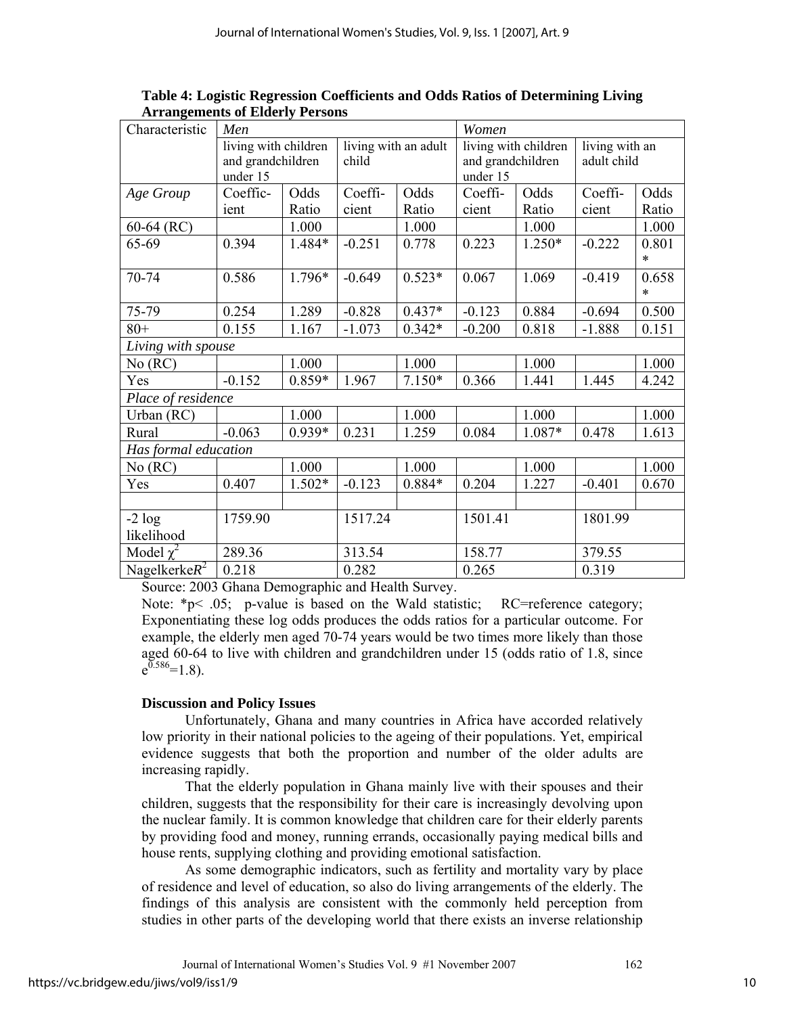| Characteristic       | Men                  |        |          |                      | Women                         |                      |                |                 |  |
|----------------------|----------------------|--------|----------|----------------------|-------------------------------|----------------------|----------------|-----------------|--|
|                      | living with children |        |          | living with an adult |                               | living with children | living with an |                 |  |
|                      | and grandchildren    |        | child    |                      | and grandchildren<br>under 15 |                      | adult child    |                 |  |
|                      | under 15             |        |          |                      |                               |                      |                |                 |  |
| Age Group            | Coeffic-             | Odds   | Coeffi-  | Odds                 | Coeffi-                       | Odds                 | Coeffi-        | Odds            |  |
|                      | ient                 | Ratio  | cient    | Ratio                | cient                         | Ratio                | cient          | Ratio           |  |
| $60-64$ (RC)         |                      | 1.000  |          | 1.000                |                               | 1.000                |                | 1.000           |  |
| 65-69                | 0.394                | 1.484* | $-0.251$ | 0.778                | 0.223                         | $1.250*$             | $-0.222$       | 0.801<br>$\ast$ |  |
| 70-74                | 0.586                | 1.796* | $-0.649$ | $0.523*$             | 0.067                         | 1.069                | $-0.419$       | 0.658<br>$\ast$ |  |
| 75-79                | 0.254                | 1.289  | $-0.828$ | $0.437*$             | $-0.123$                      | 0.884                | $-0.694$       | 0.500           |  |
| $80 +$               | 0.155                | 1.167  | $-1.073$ | $0.342*$             | $-0.200$                      | 0.818                | $-1.888$       | 0.151           |  |
| Living with spouse   |                      |        |          |                      |                               |                      |                |                 |  |
| No (RC)              |                      | 1.000  |          | 1.000                |                               | 1.000                |                | 1.000           |  |
| Yes                  | $-0.152$             | 0.859* | 1.967    | $7.150*$             | 0.366                         | 1.441                | 1.445          | 4.242           |  |
| Place of residence   |                      |        |          |                      |                               |                      |                |                 |  |
| Urban (RC)           |                      | 1.000  |          | 1.000                |                               | 1.000                |                | 1.000           |  |
| Rural                | $-0.063$             | 0.939* | 0.231    | 1.259                | 0.084                         | 1.087*               | 0.478          | 1.613           |  |
| Has formal education |                      |        |          |                      |                               |                      |                |                 |  |
| No (RC)              |                      | 1.000  |          | 1.000                |                               | 1.000                |                | 1.000           |  |
| Yes                  | 0.407                | 1.502* | $-0.123$ | $0.884*$             | 0.204                         | 1.227                | $-0.401$       | 0.670           |  |
|                      |                      |        |          |                      |                               |                      |                |                 |  |
| $-2 log$             | 1759.90              |        | 1517.24  |                      | 1501.41                       |                      | 1801.99        |                 |  |
| likelihood           |                      |        |          |                      |                               |                      |                |                 |  |
| Model $\chi^2$       | 289.36               |        | 313.54   |                      | 158.77                        |                      | 379.55         |                 |  |
| Nagelkerke $R^2$     | 0.218                |        | 0.282    |                      | 0.265                         |                      | 0.319          |                 |  |

**Table 4: Logistic Regression Coefficients and Odds Ratios of Determining Living Arrangements of Elderly Persons** 

Source: 2003 Ghana Demographic and Health Survey.

Note:  $*_p$  < .05; p-value is based on the Wald statistic; RC=reference category; Exponentiating these log odds produces the odds ratios for a particular outcome. For example, the elderly men aged 70-74 years would be two times more likely than those aged 60-64 to live with children and grandchildren under 15 (odds ratio of 1.8, since  $e^{0.586}$ =1.8).

#### **Discussion and Policy Issues**

Unfortunately, Ghana and many countries in Africa have accorded relatively low priority in their national policies to the ageing of their populations. Yet, empirical evidence suggests that both the proportion and number of the older adults are increasing rapidly.

That the elderly population in Ghana mainly live with their spouses and their children, suggests that the responsibility for their care is increasingly devolving upon the nuclear family. It is common knowledge that children care for their elderly parents by providing food and money, running errands, occasionally paying medical bills and house rents, supplying clothing and providing emotional satisfaction.

As some demographic indicators, such as fertility and mortality vary by place of residence and level of education, so also do living arrangements of the elderly. The findings of this analysis are consistent with the commonly held perception from studies in other parts of the developing world that there exists an inverse relationship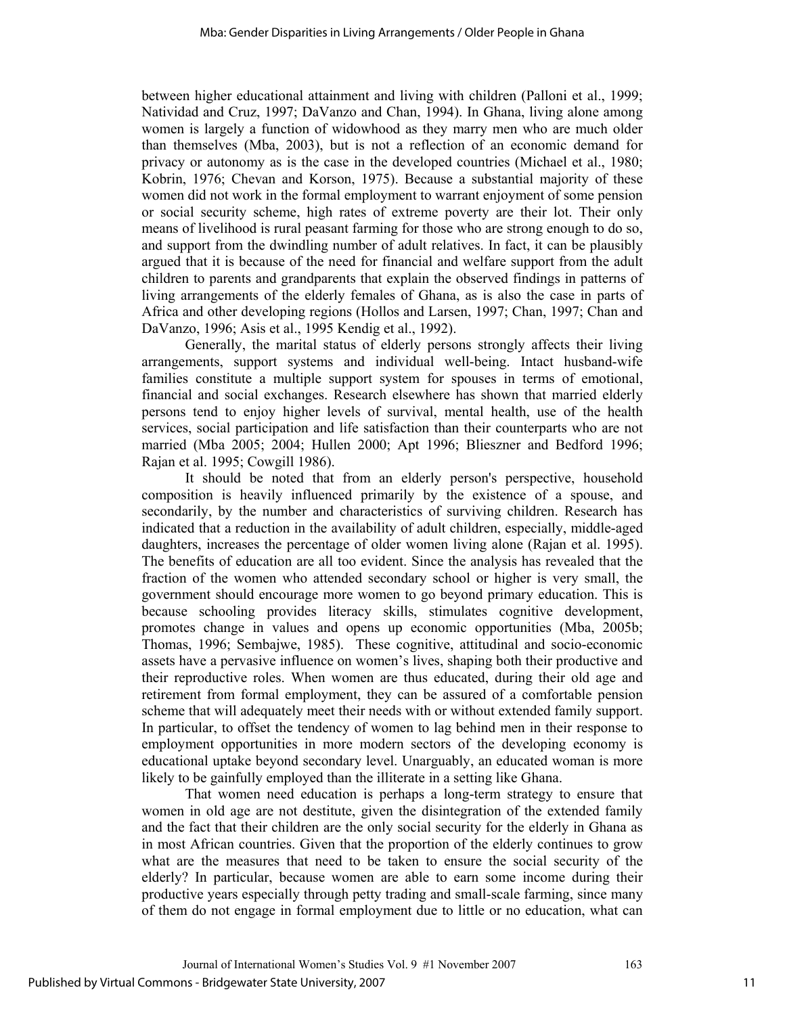between higher educational attainment and living with children (Palloni et al., 1999; Natividad and Cruz, 1997; DaVanzo and Chan, 1994). In Ghana, living alone among women is largely a function of widowhood as they marry men who are much older than themselves (Mba, 2003), but is not a reflection of an economic demand for privacy or autonomy as is the case in the developed countries (Michael et al., 1980; Kobrin, 1976; Chevan and Korson, 1975). Because a substantial majority of these women did not work in the formal employment to warrant enjoyment of some pension or social security scheme, high rates of extreme poverty are their lot. Their only means of livelihood is rural peasant farming for those who are strong enough to do so, and support from the dwindling number of adult relatives. In fact, it can be plausibly argued that it is because of the need for financial and welfare support from the adult children to parents and grandparents that explain the observed findings in patterns of living arrangements of the elderly females of Ghana, as is also the case in parts of Africa and other developing regions (Hollos and Larsen, 1997; Chan, 1997; Chan and DaVanzo, 1996; Asis et al., 1995 Kendig et al., 1992).

Generally, the marital status of elderly persons strongly affects their living arrangements, support systems and individual well-being. Intact husband-wife families constitute a multiple support system for spouses in terms of emotional, financial and social exchanges. Research elsewhere has shown that married elderly persons tend to enjoy higher levels of survival, mental health, use of the health services, social participation and life satisfaction than their counterparts who are not married (Mba 2005; 2004; Hullen 2000; Apt 1996; Blieszner and Bedford 1996; Rajan et al. 1995; Cowgill 1986).

It should be noted that from an elderly person's perspective, household composition is heavily influenced primarily by the existence of a spouse, and secondarily, by the number and characteristics of surviving children. Research has indicated that a reduction in the availability of adult children, especially, middle-aged daughters, increases the percentage of older women living alone (Rajan et al. 1995). The benefits of education are all too evident. Since the analysis has revealed that the fraction of the women who attended secondary school or higher is very small, the government should encourage more women to go beyond primary education. This is because schooling provides literacy skills, stimulates cognitive development, promotes change in values and opens up economic opportunities (Mba, 2005b; Thomas, 1996; Sembajwe, 1985). These cognitive, attitudinal and socio-economic assets have a pervasive influence on women's lives, shaping both their productive and their reproductive roles. When women are thus educated, during their old age and retirement from formal employment, they can be assured of a comfortable pension scheme that will adequately meet their needs with or without extended family support. In particular, to offset the tendency of women to lag behind men in their response to employment opportunities in more modern sectors of the developing economy is educational uptake beyond secondary level. Unarguably, an educated woman is more likely to be gainfully employed than the illiterate in a setting like Ghana.

That women need education is perhaps a long-term strategy to ensure that women in old age are not destitute, given the disintegration of the extended family and the fact that their children are the only social security for the elderly in Ghana as in most African countries. Given that the proportion of the elderly continues to grow what are the measures that need to be taken to ensure the social security of the elderly? In particular, because women are able to earn some income during their productive years especially through petty trading and small-scale farming, since many of them do not engage in formal employment due to little or no education, what can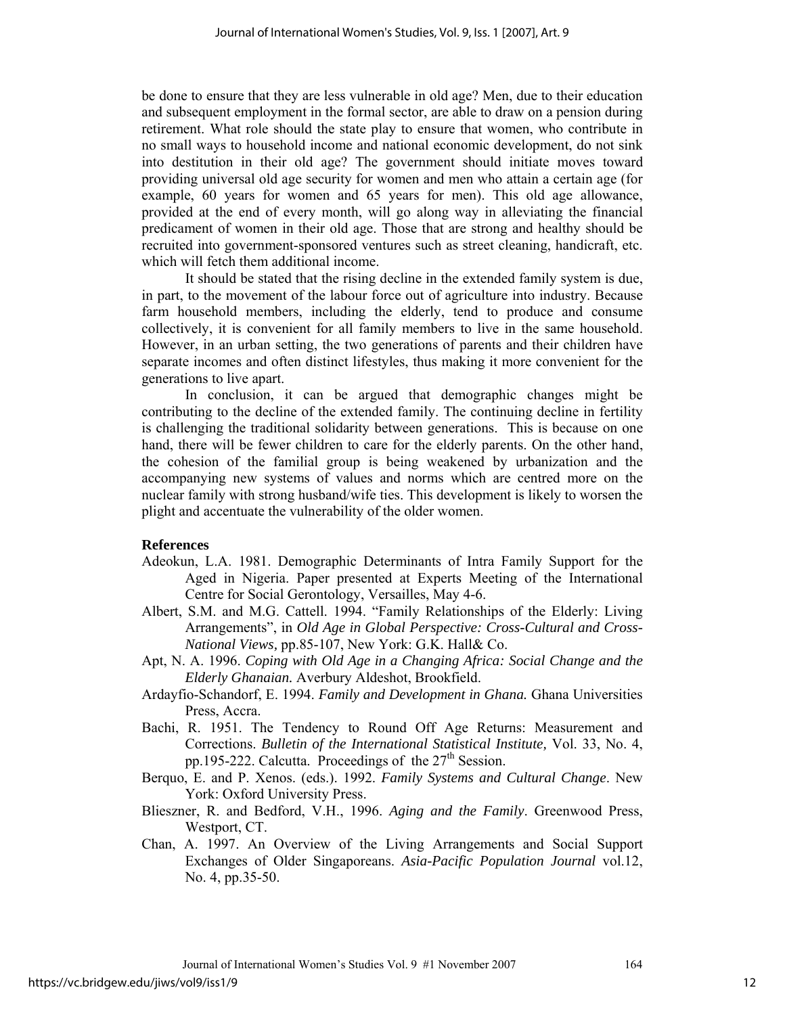be done to ensure that they are less vulnerable in old age? Men, due to their education and subsequent employment in the formal sector, are able to draw on a pension during retirement. What role should the state play to ensure that women, who contribute in no small ways to household income and national economic development, do not sink into destitution in their old age? The government should initiate moves toward providing universal old age security for women and men who attain a certain age (for example, 60 years for women and 65 years for men). This old age allowance, provided at the end of every month, will go along way in alleviating the financial predicament of women in their old age. Those that are strong and healthy should be recruited into government-sponsored ventures such as street cleaning, handicraft, etc. which will fetch them additional income.

It should be stated that the rising decline in the extended family system is due, in part, to the movement of the labour force out of agriculture into industry. Because farm household members, including the elderly, tend to produce and consume collectively, it is convenient for all family members to live in the same household. However, in an urban setting, the two generations of parents and their children have separate incomes and often distinct lifestyles, thus making it more convenient for the generations to live apart.

In conclusion, it can be argued that demographic changes might be contributing to the decline of the extended family. The continuing decline in fertility is challenging the traditional solidarity between generations. This is because on one hand, there will be fewer children to care for the elderly parents. On the other hand, the cohesion of the familial group is being weakened by urbanization and the accompanying new systems of values and norms which are centred more on the nuclear family with strong husband/wife ties. This development is likely to worsen the plight and accentuate the vulnerability of the older women.

#### **References**

- Adeokun, L.A. 1981. Demographic Determinants of Intra Family Support for the Aged in Nigeria. Paper presented at Experts Meeting of the International Centre for Social Gerontology, Versailles, May 4-6.
- Albert, S.M. and M.G. Cattell. 1994. "Family Relationships of the Elderly: Living Arrangements", in *Old Age in Global Perspective: Cross-Cultural and Cross-National Views,* pp.85-107, New York: G.K. Hall& Co.
- Apt, N. A. 1996. *Coping with Old Age in a Changing Africa: Social Change and the Elderly Ghanaian.* Averbury Aldeshot, Brookfield.
- Ardayfio-Schandorf, E. 1994. *Family and Development in Ghana.* Ghana Universities Press, Accra.
- Bachi, R. 1951. The Tendency to Round Off Age Returns: Measurement and Corrections. *Bulletin of the International Statistical Institute,* Vol. 33, No. 4, pp.195-222. Calcutta. Proceedings of the  $27<sup>th</sup>$  Session.
- Berquo, E. and P. Xenos. (eds.). 1992. *Family Systems and Cultural Change*. New York: Oxford University Press.
- Blieszner, R. and Bedford, V.H., 1996. *Aging and the Family*. Greenwood Press, Westport, CT.
- Chan, A. 1997. An Overview of the Living Arrangements and Social Support Exchanges of Older Singaporeans. *Asia-Pacific Population Journal* vol.12, No. 4, pp.35-50.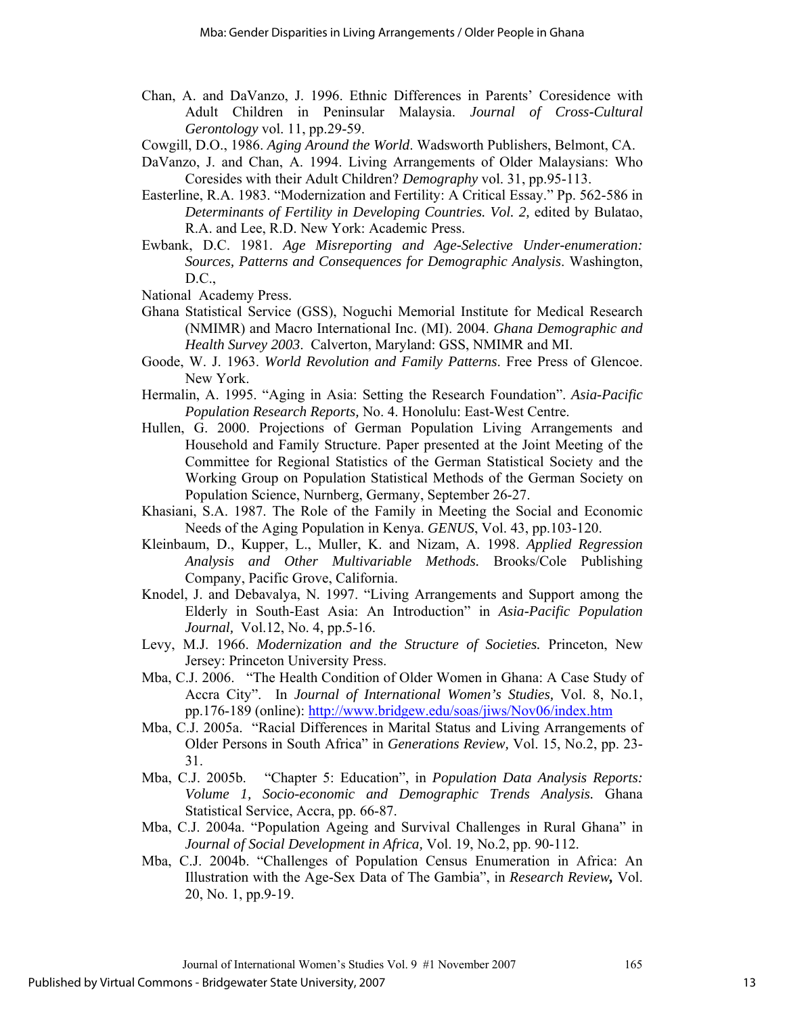- Chan, A. and DaVanzo, J. 1996. Ethnic Differences in Parents' Coresidence with Adult Children in Peninsular Malaysia. *Journal of Cross-Cultural Gerontology* vol. 11, pp.29-59.
- Cowgill, D.O., 1986. *Aging Around the World*. Wadsworth Publishers, Belmont, CA.
- DaVanzo, J. and Chan, A. 1994. Living Arrangements of Older Malaysians: Who Coresides with their Adult Children? *Demography* vol. 31, pp.95-113.
- Easterline, R.A. 1983. "Modernization and Fertility: A Critical Essay." Pp. 562-586 in *Determinants of Fertility in Developing Countries. Vol. 2,* edited by Bulatao, R.A. and Lee, R.D. New York: Academic Press.
- Ewbank, D.C. 1981. *Age Misreporting and Age-Selective Under-enumeration: Sources, Patterns and Consequences for Demographic Analysis*. Washington, D.C.,
- National Academy Press.
- Ghana Statistical Service (GSS), Noguchi Memorial Institute for Medical Research (NMIMR) and Macro International Inc. (MI). 2004. *Ghana Demographic and Health Survey 2003*. Calverton, Maryland: GSS, NMIMR and MI.
- Goode, W. J. 1963. *World Revolution and Family Patterns*. Free Press of Glencoe. New York.
- Hermalin, A. 1995. "Aging in Asia: Setting the Research Foundation". *Asia-Pacific Population Research Reports,* No. 4. Honolulu: East-West Centre.
- Hullen, G. 2000. Projections of German Population Living Arrangements and Household and Family Structure. Paper presented at the Joint Meeting of the Committee for Regional Statistics of the German Statistical Society and the Working Group on Population Statistical Methods of the German Society on Population Science, Nurnberg, Germany, September 26-27.
- Khasiani, S.A. 1987. The Role of the Family in Meeting the Social and Economic Needs of the Aging Population in Kenya. *GENUS*, Vol. 43, pp.103-120.
- Kleinbaum, D., Kupper, L., Muller, K. and Nizam, A. 1998. *Applied Regression Analysis and Other Multivariable Methods.* Brooks/Cole Publishing Company, Pacific Grove, California.
- Knodel, J. and Debavalya, N. 1997. "Living Arrangements and Support among the Elderly in South-East Asia: An Introduction" in *Asia-Pacific Population Journal,* Vol.12, No. 4, pp.5-16.
- Levy, M.J. 1966. *Modernization and the Structure of Societies.* Princeton, New Jersey: Princeton University Press.
- Mba, C.J. 2006. "The Health Condition of Older Women in Ghana: A Case Study of Accra City". In *Journal of International Women's Studies,* Vol. 8, No.1, pp.176-189 (online): http://www.bridgew.edu/soas/jiws/Nov06/index.htm
- Mba, C.J. 2005a. "Racial Differences in Marital Status and Living Arrangements of Older Persons in South Africa" in *Generations Review,* Vol. 15, No.2, pp. 23- 31.
- Mba, C.J. 2005b. "Chapter 5: Education", in *Population Data Analysis Reports: Volume 1, Socio-economic and Demographic Trends Analysis.* Ghana Statistical Service, Accra, pp. 66-87.
- Mba, C.J. 2004a. "Population Ageing and Survival Challenges in Rural Ghana" in *Journal of Social Development in Africa,* Vol. 19, No.2, pp. 90-112.
- Mba, C.J. 2004b. "Challenges of Population Census Enumeration in Africa: An Illustration with the Age-Sex Data of The Gambia", in *Research Review,* Vol. 20, No. 1, pp.9-19.